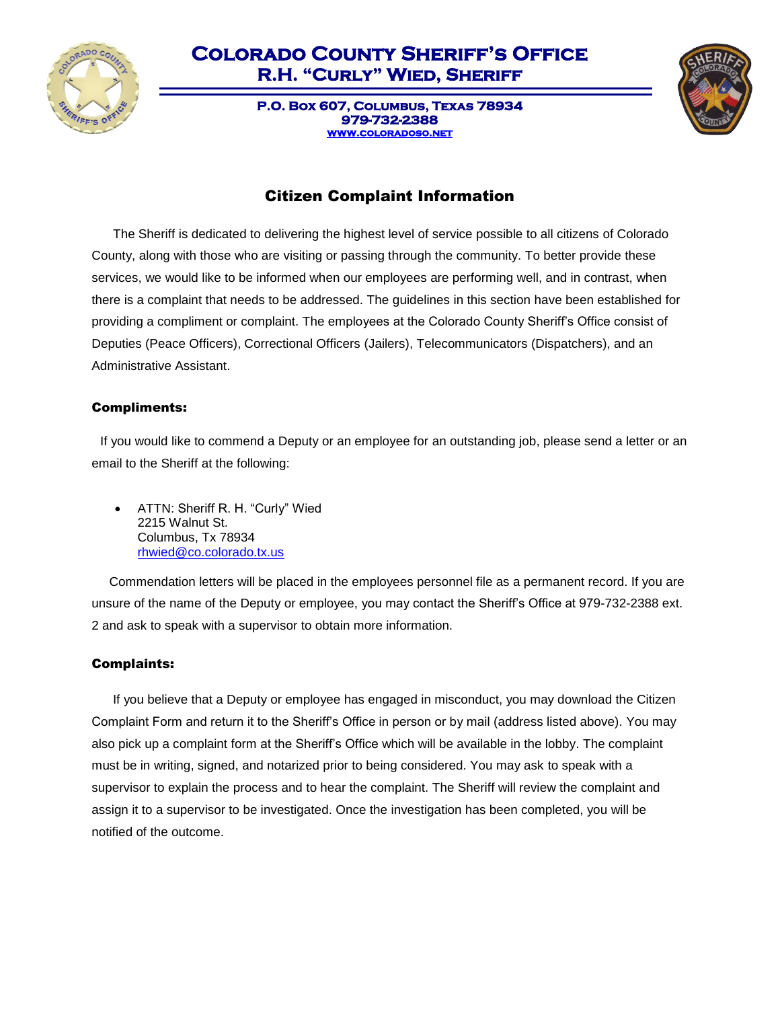

**P.O. Box 607, Columbus, Texas 78934 979-732-2388 [www.coloradoso.net](http://www.coloradoso.net/)** 



## Citizen Complaint Information

 The Sheriff is dedicated to delivering the highest level of service possible to all citizens of Colorado County, along with those who are visiting or passing through the community. To better provide these services, we would like to be informed when our employees are performing well, and in contrast, when there is a complaint that needs to be addressed. The guidelines in this section have been established for providing a compliment or complaint. The employees at the Colorado County Sheriff's Office consist of Deputies (Peace Officers), Correctional Officers (Jailers), Telecommunicators (Dispatchers), and an Administrative Assistant.

#### Compliments:

 If you would like to commend a Deputy or an employee for an outstanding job, please send a letter or an email to the Sheriff at the following:

• ATTN: Sheriff R. H. "Curly" Wied 2215 Walnut St. Columbus, Tx 78934 [rhwied@co.colorado.tx.us](mailto:rhwied@co.colorado.tx.us)

 Commendation letters will be placed in the employees personnel file as a permanent record. If you are unsure of the name of the Deputy or employee, you may contact the Sheriff's Office at 979-732-2388 ext. 2 and ask to speak with a supervisor to obtain more information.

#### Complaints:

 If you believe that a Deputy or employee has engaged in misconduct, you may download the Citizen Complaint Form and return it to the Sheriff's Office in person or by mail (address listed above). You may also pick up a complaint form at the Sheriff's Office which will be available in the lobby. The complaint must be in writing, signed, and notarized prior to being considered. You may ask to speak with a supervisor to explain the process and to hear the complaint. The Sheriff will review the complaint and assign it to a supervisor to be investigated. Once the investigation has been completed, you will be notified of the outcome.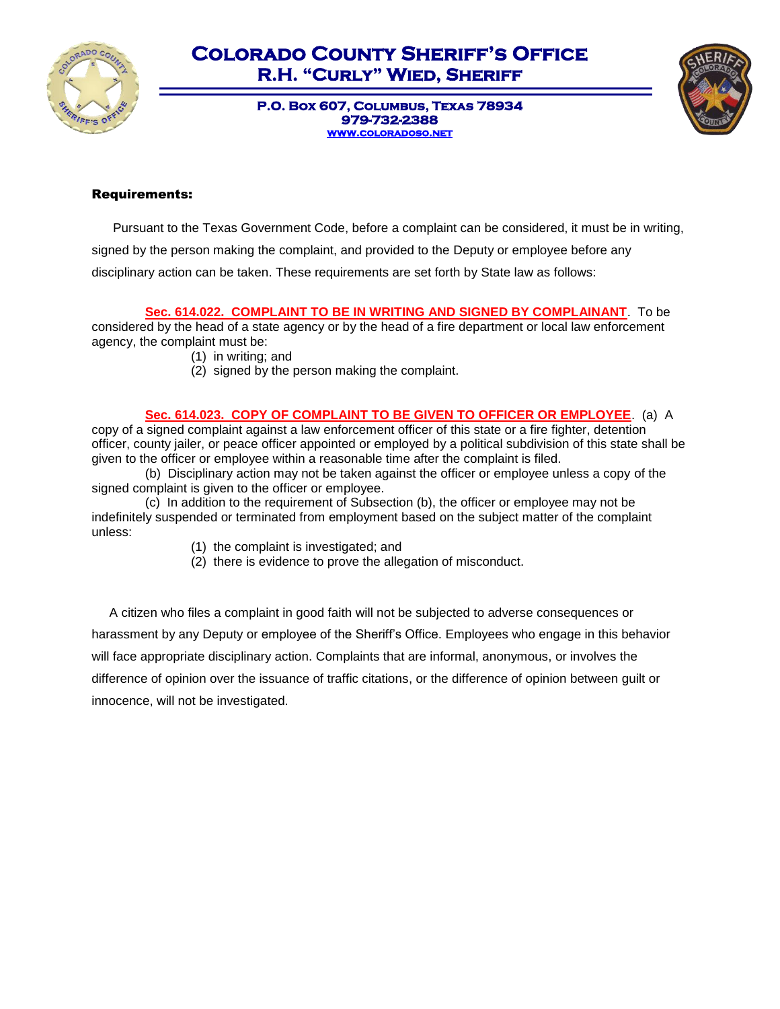

> **P.O. Box 607, Columbus, Texas 78934 979-732-2388 [www.coloradoso.net](http://www.coloradoso.net/)**



#### Requirements:

 Pursuant to the Texas Government Code, before a complaint can be considered, it must be in writing, signed by the person making the complaint, and provided to the Deputy or employee before any disciplinary action can be taken. These requirements are set forth by State law as follows:

**Sec. 614.022. COMPLAINT TO BE IN WRITING AND SIGNED BY COMPLAINANT**. To be

considered by the head of a state agency or by the head of a fire department or local law enforcement agency, the complaint must be:

- (1) in writing; and
- (2) signed by the person making the complaint.

**Sec. 614.023. COPY OF COMPLAINT TO BE GIVEN TO OFFICER OR EMPLOYEE**. (a) A copy of a signed complaint against a law enforcement officer of this state or a fire fighter, detention officer, county jailer, or peace officer appointed or employed by a political subdivision of this state shall be given to the officer or employee within a reasonable time after the complaint is filed.

(b) Disciplinary action may not be taken against the officer or employee unless a copy of the signed complaint is given to the officer or employee.

(c) In addition to the requirement of Subsection (b), the officer or employee may not be indefinitely suspended or terminated from employment based on the subject matter of the complaint unless:

- (1) the complaint is investigated; and
- (2) there is evidence to prove the allegation of misconduct.

 A citizen who files a complaint in good faith will not be subjected to adverse consequences or harassment by any Deputy or employee of the Sheriff's Office. Employees who engage in this behavior will face appropriate disciplinary action. Complaints that are informal, anonymous, or involves the difference of opinion over the issuance of traffic citations, or the difference of opinion between guilt or innocence, will not be investigated.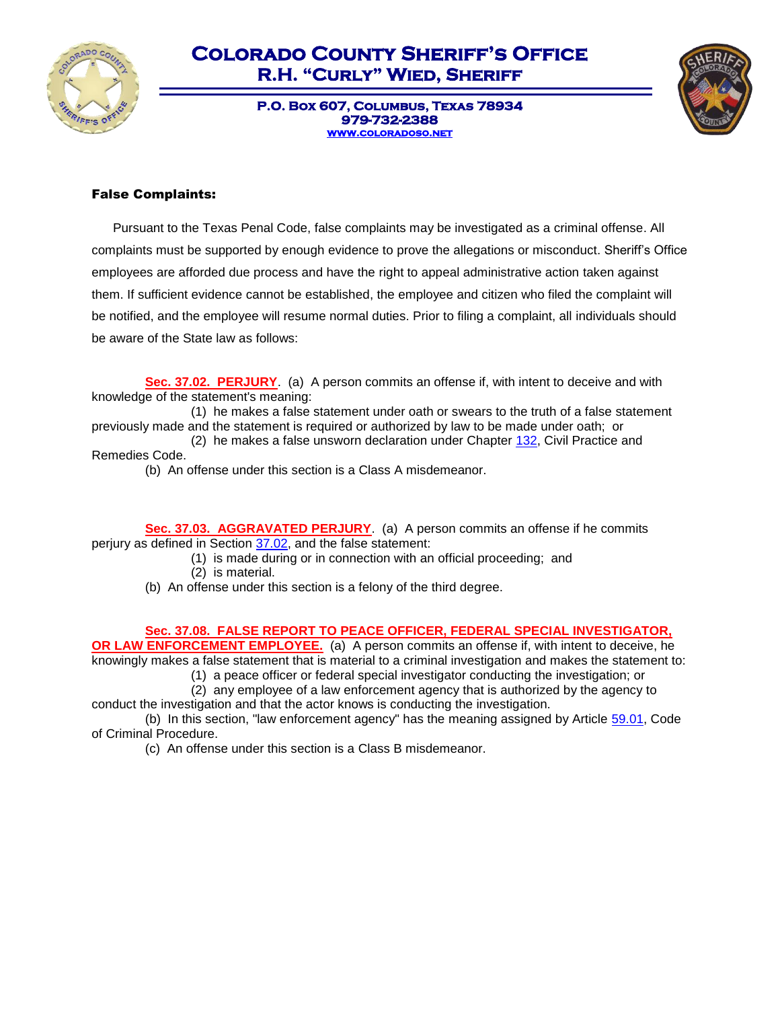

**P.O. Box 607, Columbus, Texas 78934 979-732-2388 [www.coloradoso.net](http://www.coloradoso.net/)** 



#### False Complaints:

 Pursuant to the Texas Penal Code, false complaints may be investigated as a criminal offense. All complaints must be supported by enough evidence to prove the allegations or misconduct. Sheriff's Office employees are afforded due process and have the right to appeal administrative action taken against them. If sufficient evidence cannot be established, the employee and citizen who filed the complaint will be notified, and the employee will resume normal duties. Prior to filing a complaint, all individuals should be aware of the State law as follows:

**Sec. 37.02. PERJURY**. (a) A person commits an offense if, with intent to deceive and with knowledge of the statement's meaning:

(1) he makes a false statement under oath or swears to the truth of a false statement previously made and the statement is required or authorized by law to be made under oath; or

(2) he makes a false unsworn declaration under Chapter  $132$ , Civil Practice and Remedies Code.

(b) An offense under this section is a Class A misdemeanor.

**Sec. 37.03. AGGRAVATED PERJURY**. (a) A person commits an offense if he commits perjury as defined in Section [37.02,](http://www.statutes.legis.state.tx.us/GetStatute.aspx?Code=PE&Value=37.02) and the false statement:

- (1) is made during or in connection with an official proceeding; and (2) is material.
	-

(b) An offense under this section is a felony of the third degree.

**Sec. 37.08. FALSE REPORT TO PEACE OFFICER, FEDERAL SPECIAL INVESTIGATOR, OR LAW ENFORCEMENT EMPLOYEE.** (a) A person commits an offense if, with intent to deceive, he knowingly makes a false statement that is material to a criminal investigation and makes the statement to:

(1) a peace officer or federal special investigator conducting the investigation; or

(2) any employee of a law enforcement agency that is authorized by the agency to conduct the investigation and that the actor knows is conducting the investigation.

(b) In this section, "law enforcement agency" has the meaning assigned by Article [59.01,](http://www.statutes.legis.state.tx.us/GetStatute.aspx?Code=CR&Value=59.01) Code of Criminal Procedure.

(c) An offense under this section is a Class B misdemeanor.